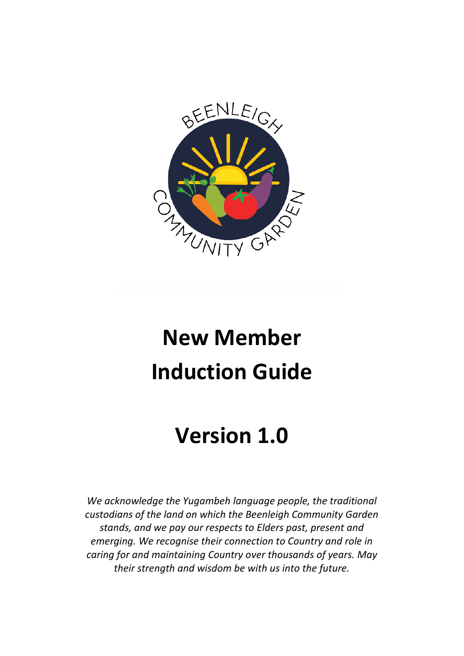

# **New Member Induction Guide**

# **Version 1.0**

*We acknowledge the Yugambeh language people, the traditional custodians of the land on which the Beenleigh Community Garden stands, and we pay our respects to Elders past, present and emerging. We recognise their connection to Country and role in caring for and maintaining Country over thousands of years. May their strength and wisdom be with us into the future.*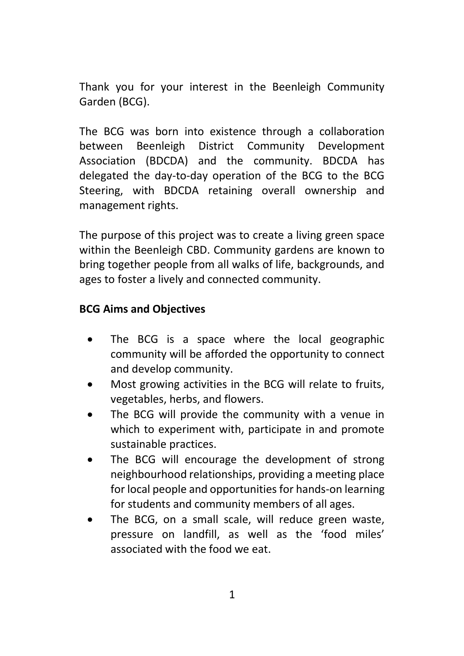Thank you for your interest in the Beenleigh Community Garden (BCG).

The BCG was born into existence through a collaboration between Beenleigh District Community Development Association (BDCDA) and the community. BDCDA has delegated the day-to-day operation of the BCG to the BCG Steering, with BDCDA retaining overall ownership and management rights.

The purpose of this project was to create a living green space within the Beenleigh CBD. Community gardens are known to bring together people from all walks of life, backgrounds, and ages to foster a lively and connected community.

# **BCG Aims and Objectives**

- The BCG is a space where the local geographic community will be afforded the opportunity to connect and develop community.
- Most growing activities in the BCG will relate to fruits, vegetables, herbs, and flowers.
- The BCG will provide the community with a venue in which to experiment with, participate in and promote sustainable practices.
- The BCG will encourage the development of strong neighbourhood relationships, providing a meeting place for local people and opportunities for hands-on learning for students and community members of all ages.
- The BCG, on a small scale, will reduce green waste, pressure on landfill, as well as the 'food miles' associated with the food we eat.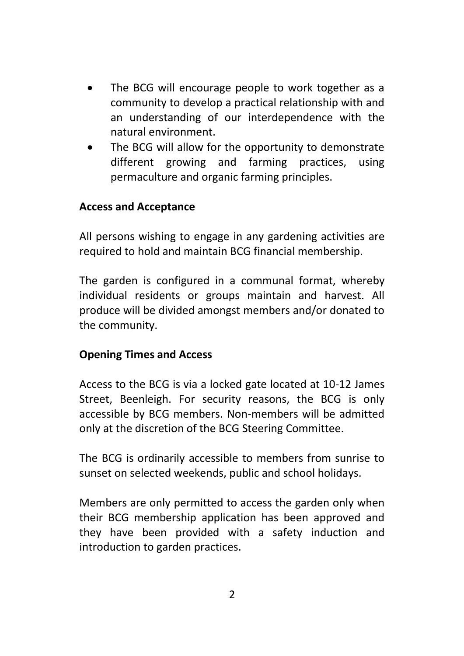- The BCG will encourage people to work together as a community to develop a practical relationship with and an understanding of our interdependence with the natural environment.
- The BCG will allow for the opportunity to demonstrate different growing and farming practices, using permaculture and organic farming principles.

#### **Access and Acceptance**

All persons wishing to engage in any gardening activities are required to hold and maintain BCG financial membership.

The garden is configured in a communal format, whereby individual residents or groups maintain and harvest. All produce will be divided amongst members and/or donated to the community.

#### **Opening Times and Access**

Access to the BCG is via a locked gate located at 10-12 James Street, Beenleigh. For security reasons, the BCG is only accessible by BCG members. Non-members will be admitted only at the discretion of the BCG Steering Committee.

The BCG is ordinarily accessible to members from sunrise to sunset on selected weekends, public and school holidays.

Members are only permitted to access the garden only when their BCG membership application has been approved and they have been provided with a safety induction and introduction to garden practices.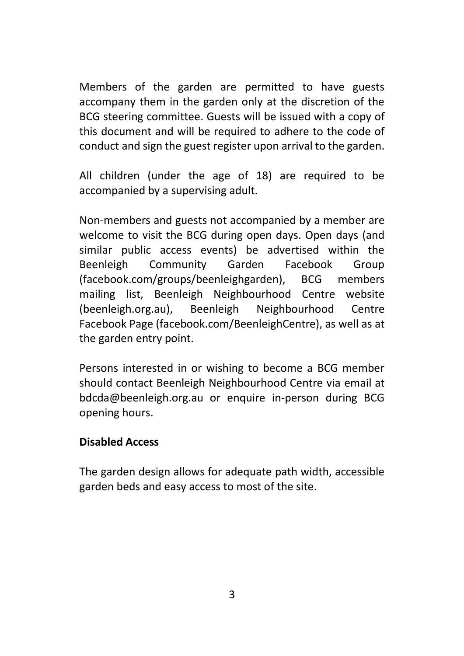Members of the garden are permitted to have guests accompany them in the garden only at the discretion of the BCG steering committee. Guests will be issued with a copy of this document and will be required to adhere to the code of conduct and sign the guest register upon arrival to the garden.

All children (under the age of 18) are required to be accompanied by a supervising adult.

Non-members and guests not accompanied by a member are welcome to visit the BCG during open days. Open days (and similar public access events) be advertised within the Beenleigh Community Garden Facebook Group (facebook.com/groups/beenleighgarden), BCG members mailing list, Beenleigh Neighbourhood Centre website (beenleigh.org.au), Beenleigh Neighbourhood Centre Facebook Page (facebook.com/BeenleighCentre), as well as at the garden entry point.

Persons interested in or wishing to become a BCG member should contact Beenleigh Neighbourhood Centre via email at bdcda@beenleigh.org.au or enquire in-person during BCG opening hours.

#### **Disabled Access**

The garden design allows for adequate path width, accessible garden beds and easy access to most of the site.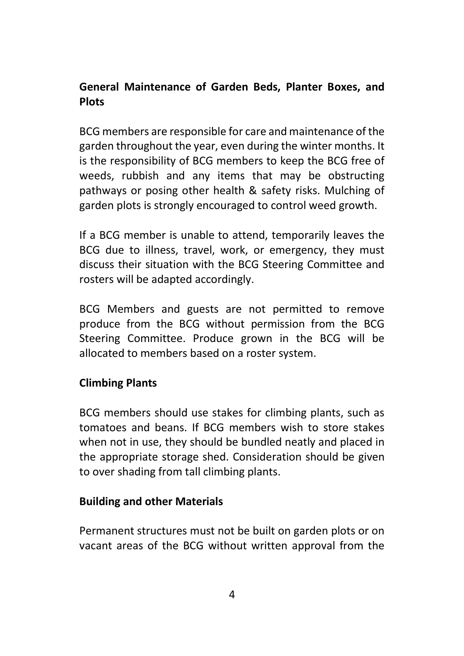# **General Maintenance of Garden Beds, Planter Boxes, and Plots**

BCG members are responsible for care and maintenance of the garden throughout the year, even during the winter months. It is the responsibility of BCG members to keep the BCG free of weeds, rubbish and any items that may be obstructing pathways or posing other health & safety risks. Mulching of garden plots is strongly encouraged to control weed growth.

If a BCG member is unable to attend, temporarily leaves the BCG due to illness, travel, work, or emergency, they must discuss their situation with the BCG Steering Committee and rosters will be adapted accordingly.

BCG Members and guests are not permitted to remove produce from the BCG without permission from the BCG Steering Committee. Produce grown in the BCG will be allocated to members based on a roster system.

# **Climbing Plants**

BCG members should use stakes for climbing plants, such as tomatoes and beans. If BCG members wish to store stakes when not in use, they should be bundled neatly and placed in the appropriate storage shed. Consideration should be given to over shading from tall climbing plants.

#### **Building and other Materials**

Permanent structures must not be built on garden plots or on vacant areas of the BCG without written approval from the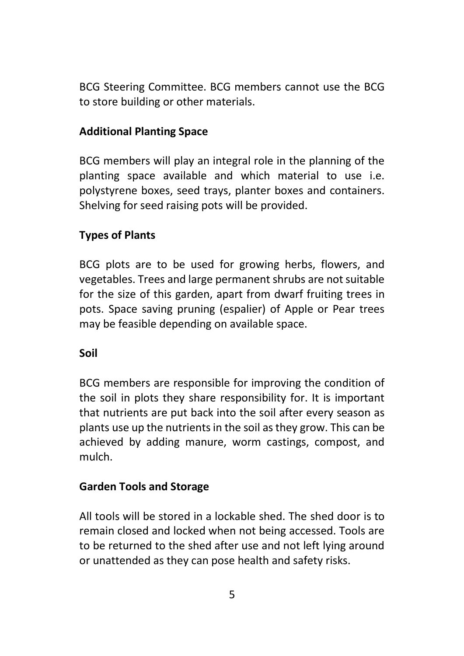BCG Steering Committee. BCG members cannot use the BCG to store building or other materials.

#### **Additional Planting Space**

BCG members will play an integral role in the planning of the planting space available and which material to use i.e. polystyrene boxes, seed trays, planter boxes and containers. Shelving for seed raising pots will be provided.

#### **Types of Plants**

BCG plots are to be used for growing herbs, flowers, and vegetables. Trees and large permanent shrubs are not suitable for the size of this garden, apart from dwarf fruiting trees in pots. Space saving pruning (espalier) of Apple or Pear trees may be feasible depending on available space.

#### **Soil**

BCG members are responsible for improving the condition of the soil in plots they share responsibility for. It is important that nutrients are put back into the soil after every season as plants use up the nutrients in the soil as they grow. This can be achieved by adding manure, worm castings, compost, and mulch.

# **Garden Tools and Storage**

All tools will be stored in a lockable shed. The shed door is to remain closed and locked when not being accessed. Tools are to be returned to the shed after use and not left lying around or unattended as they can pose health and safety risks.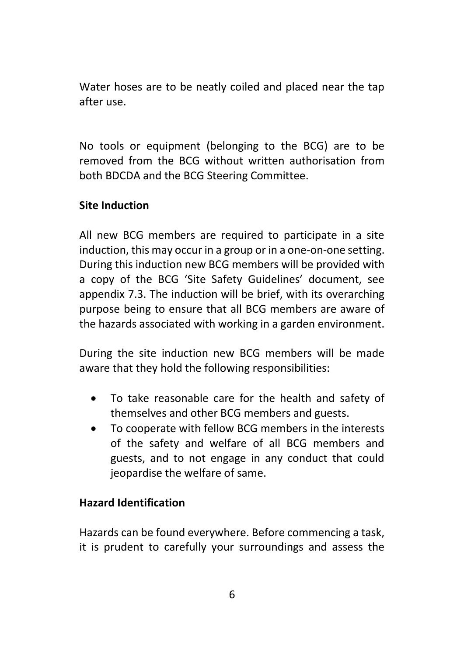Water hoses are to be neatly coiled and placed near the tap after use.

No tools or equipment (belonging to the BCG) are to be removed from the BCG without written authorisation from both BDCDA and the BCG Steering Committee.

# **Site Induction**

All new BCG members are required to participate in a site induction, this may occur in a group or in a one-on-one setting. During this induction new BCG members will be provided with a copy of the BCG 'Site Safety Guidelines' document, see appendix 7.3. The induction will be brief, with its overarching purpose being to ensure that all BCG members are aware of the hazards associated with working in a garden environment.

During the site induction new BCG members will be made aware that they hold the following responsibilities:

- To take reasonable care for the health and safety of themselves and other BCG members and guests.
- To cooperate with fellow BCG members in the interests of the safety and welfare of all BCG members and guests, and to not engage in any conduct that could jeopardise the welfare of same.

# **Hazard Identification**

Hazards can be found everywhere. Before commencing a task, it is prudent to carefully your surroundings and assess the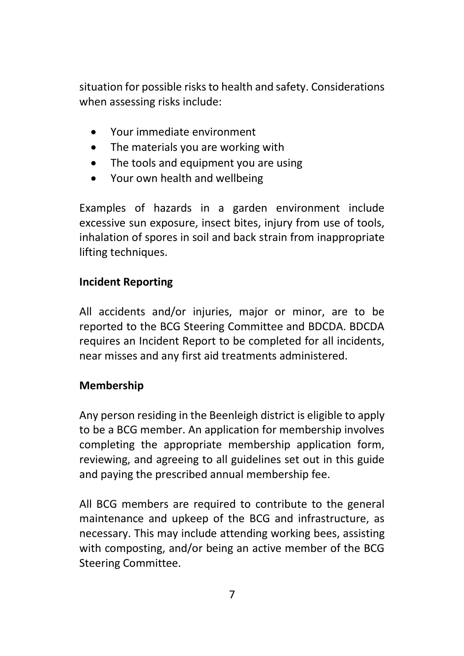situation for possible risks to health and safety. Considerations when assessing risks include:

- Your immediate environment
- The materials you are working with
- The tools and equipment you are using
- Your own health and wellbeing

Examples of hazards in a garden environment include excessive sun exposure, insect bites, injury from use of tools, inhalation of spores in soil and back strain from inappropriate lifting techniques.

# **Incident Reporting**

All accidents and/or injuries, major or minor, are to be reported to the BCG Steering Committee and BDCDA. BDCDA requires an Incident Report to be completed for all incidents, near misses and any first aid treatments administered.

# **Membership**

Any person residing in the Beenleigh district is eligible to apply to be a BCG member. An application for membership involves completing the appropriate membership application form, reviewing, and agreeing to all guidelines set out in this guide and paying the prescribed annual membership fee.

All BCG members are required to contribute to the general maintenance and upkeep of the BCG and infrastructure, as necessary. This may include attending working bees, assisting with composting, and/or being an active member of the BCG Steering Committee.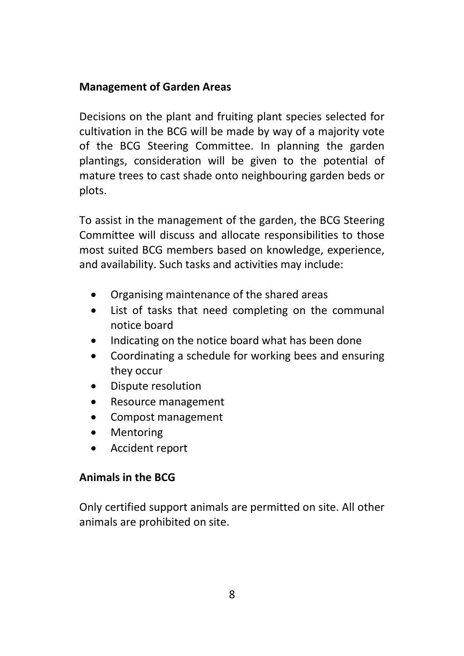#### **Management of Garden Areas**

Decisions on the plant and fruiting plant species selected for cultivation in the BCG will be made by way of a majority vote of the BCG Steering Committee. In planning the garden plantings, consideration will be given to the potential of mature trees to cast shade onto neighbouring garden beds or plots.

To assist in the management of the garden, the BCG Steering Committee will discuss and allocate responsibilities to those most suited BCG members based on knowledge, experience, and availability. Such tasks and activities may include:

- Organising maintenance of the shared areas
- List of tasks that need completing on the communal notice board
- Indicating on the notice board what has been done
- Coordinating a schedule for working bees and ensuring they occur
- Dispute resolution
- Resource management
- Compost management
- Mentoring
- Accident report

# **Animals in the BCG**

Only certified support animals are permitted on site. All other animals are prohibited on site.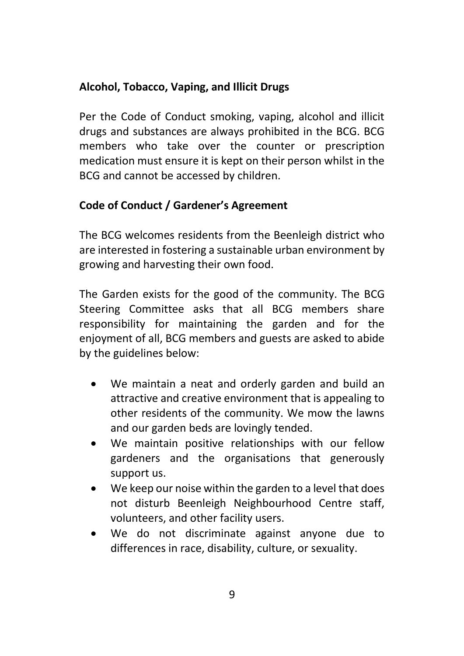# **Alcohol, Tobacco, Vaping, and Illicit Drugs**

Per the Code of Conduct smoking, vaping, alcohol and illicit drugs and substances are always prohibited in the BCG. BCG members who take over the counter or prescription medication must ensure it is kept on their person whilst in the BCG and cannot be accessed by children.

# **Code of Conduct / Gardener's Agreement**

The BCG welcomes residents from the Beenleigh district who are interested in fostering a sustainable urban environment by growing and harvesting their own food.

The Garden exists for the good of the community. The BCG Steering Committee asks that all BCG members share responsibility for maintaining the garden and for the enjoyment of all, BCG members and guests are asked to abide by the guidelines below:

- We maintain a neat and orderly garden and build an attractive and creative environment that is appealing to other residents of the community. We mow the lawns and our garden beds are lovingly tended.
- We maintain positive relationships with our fellow gardeners and the organisations that generously support us.
- We keep our noise within the garden to a level that does not disturb Beenleigh Neighbourhood Centre staff, volunteers, and other facility users.
- We do not discriminate against anyone due to differences in race, disability, culture, or sexuality.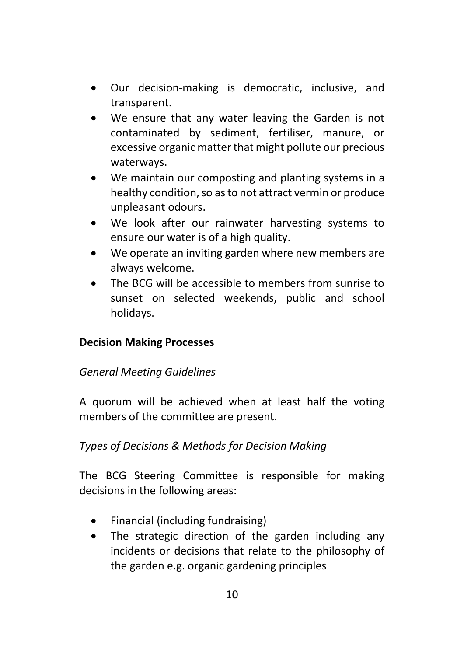- Our decision-making is democratic, inclusive, and transparent.
- We ensure that any water leaving the Garden is not contaminated by sediment, fertiliser, manure, or excessive organic matter that might pollute our precious waterways.
- We maintain our composting and planting systems in a healthy condition, so as to not attract vermin or produce unpleasant odours.
- We look after our rainwater harvesting systems to ensure our water is of a high quality.
- We operate an inviting garden where new members are always welcome.
- The BCG will be accessible to members from sunrise to sunset on selected weekends, public and school holidays.

# **Decision Making Processes**

#### *General Meeting Guidelines*

A quorum will be achieved when at least half the voting members of the committee are present.

#### *Types of Decisions & Methods for Decision Making*

The BCG Steering Committee is responsible for making decisions in the following areas:

- Financial (including fundraising)
- The strategic direction of the garden including any incidents or decisions that relate to the philosophy of the garden e.g. organic gardening principles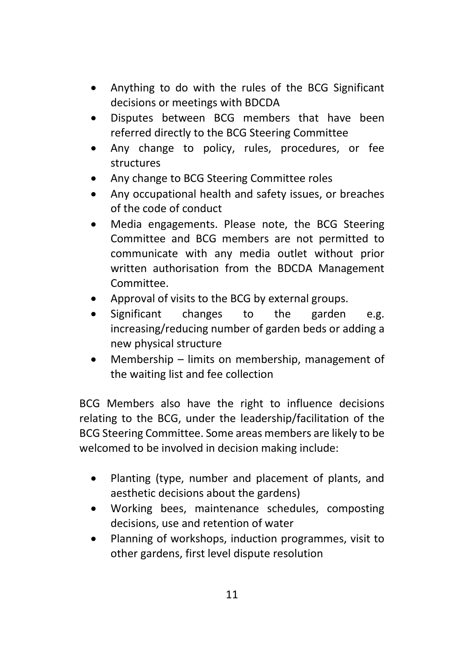- Anything to do with the rules of the BCG Significant decisions or meetings with BDCDA
- Disputes between BCG members that have been referred directly to the BCG Steering Committee
- Any change to policy, rules, procedures, or fee structures
- Any change to BCG Steering Committee roles
- Any occupational health and safety issues, or breaches of the code of conduct
- Media engagements. Please note, the BCG Steering Committee and BCG members are not permitted to communicate with any media outlet without prior written authorisation from the BDCDA Management Committee.
- Approval of visits to the BCG by external groups.
- Significant changes to the garden e.g. increasing/reducing number of garden beds or adding a new physical structure
- Membership limits on membership, management of the waiting list and fee collection

BCG Members also have the right to influence decisions relating to the BCG, under the leadership/facilitation of the BCG Steering Committee. Some areas members are likely to be welcomed to be involved in decision making include:

- Planting (type, number and placement of plants, and aesthetic decisions about the gardens)
- Working bees, maintenance schedules, composting decisions, use and retention of water
- Planning of workshops, induction programmes, visit to other gardens, first level dispute resolution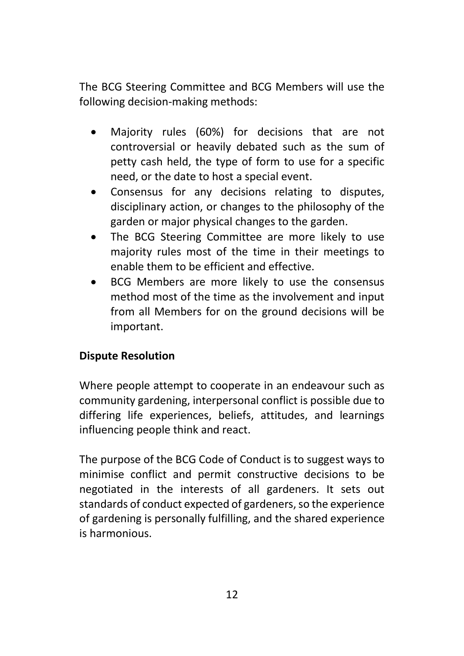The BCG Steering Committee and BCG Members will use the following decision-making methods:

- Majority rules (60%) for decisions that are not controversial or heavily debated such as the sum of petty cash held, the type of form to use for a specific need, or the date to host a special event.
- Consensus for any decisions relating to disputes, disciplinary action, or changes to the philosophy of the garden or major physical changes to the garden.
- The BCG Steering Committee are more likely to use majority rules most of the time in their meetings to enable them to be efficient and effective.
- BCG Members are more likely to use the consensus method most of the time as the involvement and input from all Members for on the ground decisions will be important.

# **Dispute Resolution**

Where people attempt to cooperate in an endeavour such as community gardening, interpersonal conflict is possible due to differing life experiences, beliefs, attitudes, and learnings influencing people think and react.

The purpose of the BCG Code of Conduct is to suggest ways to minimise conflict and permit constructive decisions to be negotiated in the interests of all gardeners. It sets out standards of conduct expected of gardeners, so the experience of gardening is personally fulfilling, and the shared experience is harmonious.